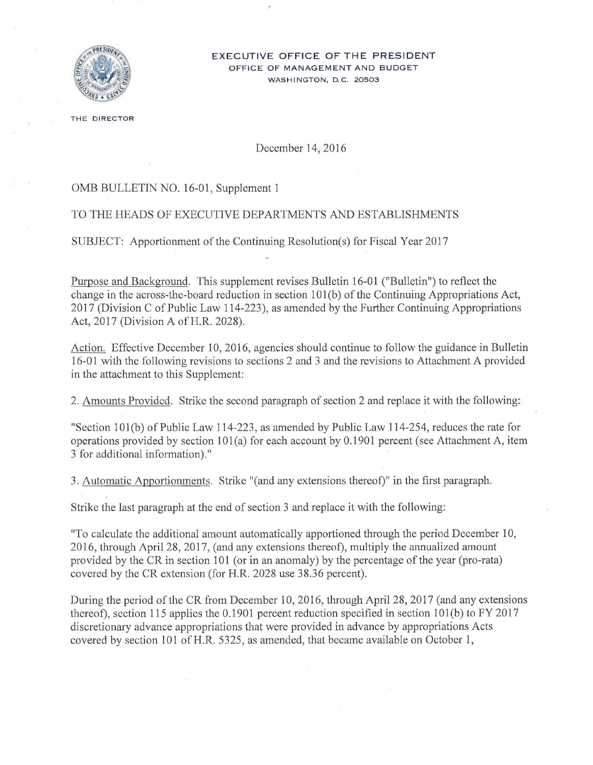

#### **EXECUTIVE OFFICE OF THE PRESIDENT**  OFFICE OF MANAGEMENT AND BUDGET WASHINGTON, D.C. 20503

THE DIRECTOR

## December 14, 2016

## OMB BULLETIN NO. 16-01, Supplement 1

## TO THE HEADS OF EXECUTIVE DEPARTMENTS AND ESTABLISHMENTS

SUBJECT: Apportionment of the Continuing Resolution(s) for Fiscal Year 2017

Purpose and Background. This supplement revises Bulletin 16-01 ("Bulletin") to reflect the change in the across-the-board reduction in section 101 (b) of the Continuing Appropriations Act, 2017 (Division C of Public Law 114-223), as amended by the Further Continuing Appropriations Act, 2017 (Division A of H.R. 2028).

Action. Effective December 10, 2016, agencies should continue to follow the guidance in Bulletin 16-01 with the following revisions to sections 2 and 3 and the revisions to Attachment A provided in the attachment to this Supplement:

2. Amounts Provided. Strike the second paragraph of section 2 and replace it with the following:

"Section lOl(b) of Public Law 114-223, as amended by Public Law 114-254, reduces the rate for operations provided by section  $101(a)$  for each account by 0.1901 percent (see Attachment A, item 3 for additional information)."

3. Automatic Apportionments. Strike "(and any extensions thereof)" in the first paragraph.

Strike the last paragraph at the end of section 3 and replace it with the following:

"To calculate the additional amount automatically apportioned through the period December 10, 2016, through April 28, 2017, (and any extensions thereof), multiply the annualized amount provided by the CR in section 101 (or in an anomaly) by the percentage of the year (pro-rata) covered by the CR extension (for H.R. 2028 use 38.36 percent).

During the period of the CR from December 10, 2016, through April 28, 2017 (and any extensions thereof), section 115 applies the 0.1901 percent reduction specified in section lOl(b) to FY 2017 discretionary advance appropriations that were provided in advance by appropriations Acts covered by section 101 of H.R. 5325, as amended, that became available on October 1,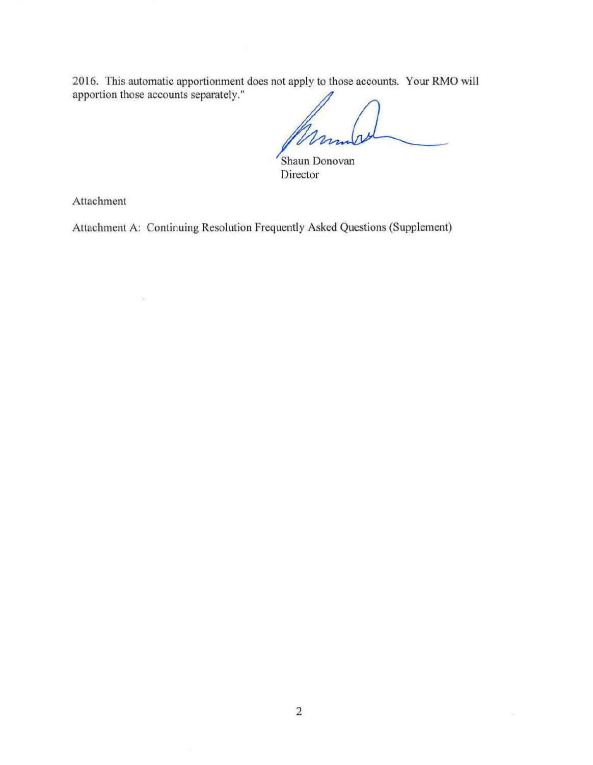2016. This automatic apportionment does not apply to those accounts. Your RMO will apportion those accounts separately."

Shaun Donovan Director

Attachment

 $\partial \mathcal{L}$ 

Attachment A: Continuing Resolution Frequently Asked Questions (Supplement)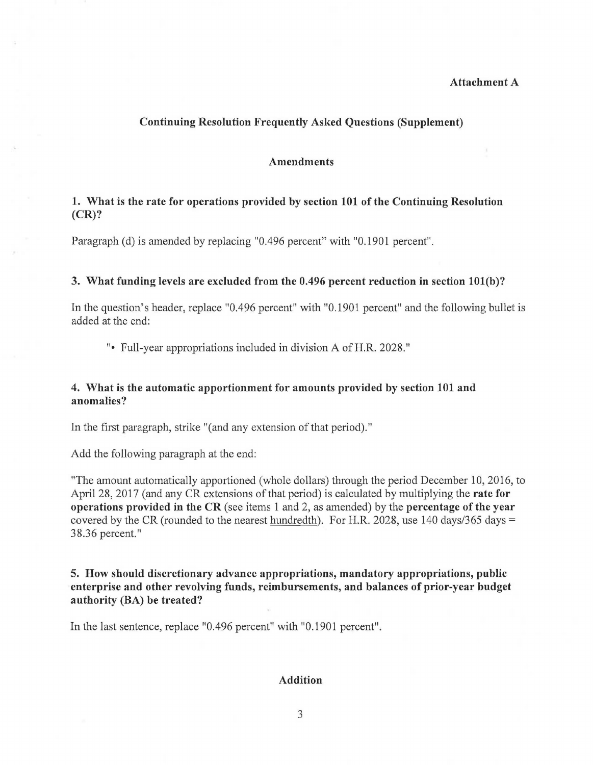## Attachment A

### Continuing Resolution Frequently Asked Questions (Supplement)

### Amendments

# 1. What is the rate for operations provided by section 101 of the Continuing Resolution (CR)?

Paragraph (d) is amended by replacing "0.496 percent" with "0.1901 percent".

#### 3. What funding levels are excluded from the 0.496 percent reduction in section lOl(b)?

In the question's header, replace "0.496 percent" with "0.1901 percent" and the following bullet is added at the end:

"• Full-year appropriations included in division A of H.R. 2028."

## 4. What is the automatic apportionment for amounts provided by section 101 and anomalies?

In the first paragraph, strike "(and any extension of that period)."

Add the following paragraph at the end:

"The amount automatically apportioned (whole dollars) through the period December 10, 2016, to April 28, 2017 (and any CR extensions of that period) is calculated by multiplying the rate for operations provided in the CR (see items 1 and 2, as amended) by the percentage of the year covered by the CR (rounded to the nearest hundredth). For H.R. 2028, use 140 days/365 days  $=$ 38.36 percent."

# 5. How should discretionary advance appropriations, mandatory appropriations, public enterprise and other revolving funds, reimbursements, and balances of prior-year budget authority (BA) be treated?

In the last sentence, replace "0.496 percent" with "0.1901 percent" .

#### Addition